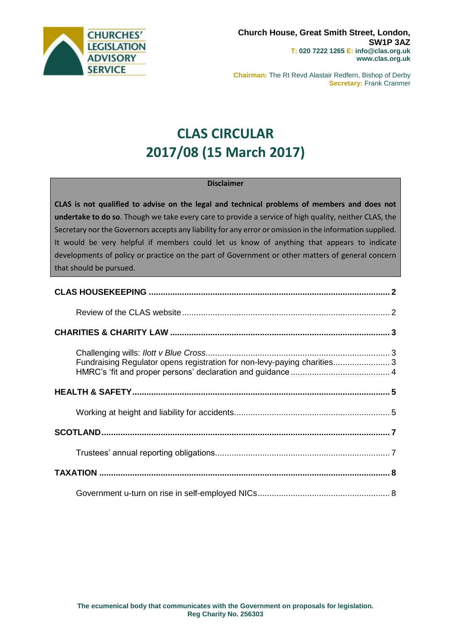

**Chairman:** The Rt Revd Alastair Redfern, Bishop of Derby **Secretary: Frank Cranmer** 

# **CLAS CIRCULAR 2017/08 (15 March 2017)**

#### **Disclaimer**

**CLAS is not qualified to advise on the legal and technical problems of members and does not undertake to do so**. Though we take every care to provide a service of high quality, neither CLAS, the Secretary nor the Governors accepts any liability for any error or omission in the information supplied. It would be very helpful if members could let us know of anything that appears to indicate developments of policy or practice on the part of Government or other matters of general concern that should be pursued.

| Fundraising Regulator opens registration for non-levy-paying charities 3 |  |
|--------------------------------------------------------------------------|--|
|                                                                          |  |
|                                                                          |  |
|                                                                          |  |
|                                                                          |  |
|                                                                          |  |
|                                                                          |  |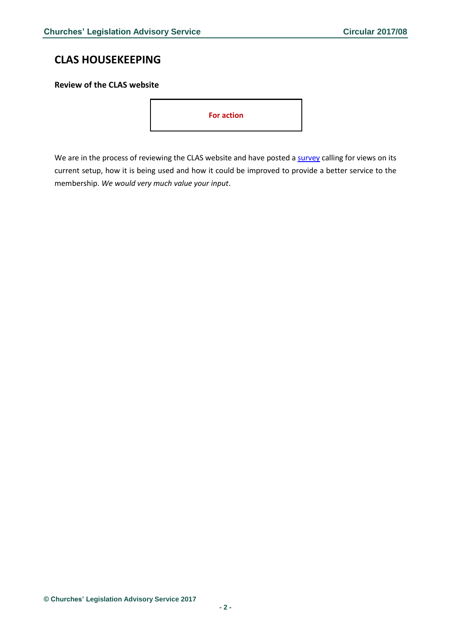## <span id="page-1-0"></span>**CLAS HOUSEKEEPING**

### <span id="page-1-1"></span>**Review of the CLAS website**

**For action**

We are in the process of reviewing the CLAS website and have posted a [survey](https://www.surveymonkey.co.uk/r/QBNVVPR) calling for views on its current setup, how it is being used and how it could be improved to provide a better service to the membership. *We would very much value your input*.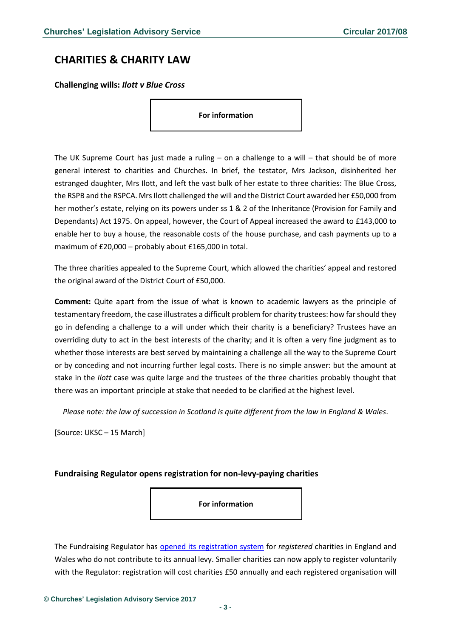### <span id="page-2-0"></span>**CHARITIES & CHARITY LAW**

<span id="page-2-1"></span>**Challenging wills:** *Ilott v Blue Cross*

**For information**

The UK Supreme Court has just made a ruling – on a challenge to a will – that should be of more general interest to charities and Churches. In brief, the testator, Mrs Jackson, disinherited her estranged daughter, Mrs Ilott, and left the vast bulk of her estate to three charities: The Blue Cross, the RSPB and the RSPCA. Mrs Ilott challenged the will and the District Court awarded her £50,000 from her mother's estate, relying on its powers under ss 1 & 2 of the Inheritance (Provision for Family and Dependants) Act 1975. On appeal, however, the Court of Appeal increased the award to £143,000 to enable her to buy a house, the reasonable costs of the house purchase, and cash payments up to a maximum of £20,000 – probably about £165,000 in total.

The three charities appealed to the Supreme Court, which allowed the charities' appeal and restored the original award of the District Court of £50,000.

**Comment:** Quite apart from the issue of what is known to academic lawyers as the principle of testamentary freedom, the case illustrates a difficult problem for charity trustees: how far should they go in defending a challenge to a will under which their charity is a beneficiary? Trustees have an overriding duty to act in the best interests of the charity; and it is often a very fine judgment as to whether those interests are best served by maintaining a challenge all the way to the Supreme Court or by conceding and not incurring further legal costs. There is no simple answer: but the amount at stake in the *Ilott* case was quite large and the trustees of the three charities probably thought that there was an important principle at stake that needed to be clarified at the highest level.

*Please note: the law of succession in Scotland is quite different from the law in England & Wales*.

[Source: UKSC – 15 March]

### <span id="page-2-2"></span>**Fundraising Regulator opens registration for non-levy-paying charities**

**For information**

The Fundraising Regulator has [opened its registration system](https://www.fundraisingregulator.org.uk/registration/registration/) for *registered* charities in England and Wales who do not contribute to its annual levy. Smaller charities can now apply to register voluntarily with the Regulator: registration will cost charities £50 annually and each registered organisation will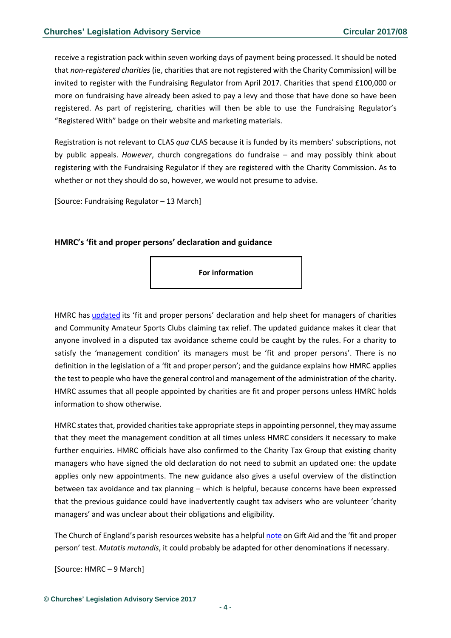receive a registration pack within seven working days of payment being processed. It should be noted that *non-registered charities* (ie, charities that are not registered with the Charity Commission) will be invited to register with the Fundraising Regulator from April 2017. Charities that spend £100,000 or more on fundraising have already been asked to pay a levy and those that have done so have been registered. As part of registering, charities will then be able to use the Fundraising Regulator's "Registered With" badge on their website and marketing materials.

Registration is not relevant to CLAS *qua* CLAS because it is funded by its members' subscriptions, not by public appeals. *However*, church congregations do fundraise – and may possibly think about registering with the Fundraising Regulator if they are registered with the Charity Commission. As to whether or not they should do so, however, we would not presume to advise.

[Source: Fundraising Regulator – 13 March]

#### <span id="page-3-0"></span>**HMRC's 'fit and proper persons' declaration and guidance**

**For information**

HMRC has [updated](https://www.gov.uk/government/publications/charities-fit-and-proper-persons-test/guidance-on-the-fit-and-proper-persons-test) its 'fit and proper persons' declaration and help sheet for managers of charities and Community Amateur Sports Clubs claiming tax relief. The updated guidance makes it clear that anyone involved in a disputed tax avoidance scheme could be caught by the rules. For a charity to satisfy the 'management condition' its managers must be 'fit and proper persons'. There is no definition in the legislation of a 'fit and proper person'; and the guidance explains how HMRC applies the test to people who have the general control and management of the administration of the charity. HMRC assumes that all people appointed by charities are fit and proper persons unless HMRC holds information to show otherwise.

HMRC states that, provided charities take appropriate steps in appointing personnel, they may assume that they meet the management condition at all times unless HMRC considers it necessary to make further enquiries. HMRC officials have also confirmed to the Charity Tax Group that existing charity managers who have signed the old declaration do not need to submit an updated one: the update applies only new appointments. The new guidance also gives a useful overview of the distinction between tax avoidance and tax planning – which is helpful, because concerns have been expressed that the previous guidance could have inadvertently caught tax advisers who are volunteer 'charity managers' and was unclear about their obligations and eligibility.

The Church of England's parish resources website has a helpful [note](http://www.parishresources.org.uk/wp-content/uploads/9-Gift-Aid-Fit-and-Proper-Persons.pdf) on Gift Aid and the 'fit and proper person' test. *Mutatis mutandis*, it could probably be adapted for other denominations if necessary.

[Source: HMRC – 9 March]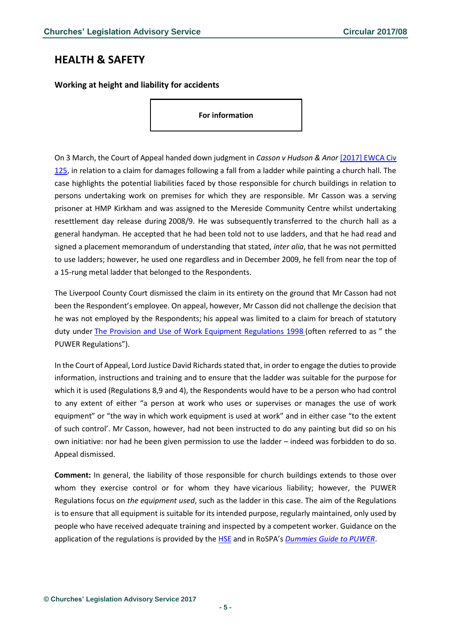### <span id="page-4-0"></span>**HEALTH & SAFETY**

<span id="page-4-1"></span>**Working at height and liability for accidents**

**For information**

On 3 March, the Court of Appeal handed down judgment in *Casson v Hudson & Anor* [\[2017\] EWCA Civ](http://www.bailii.org/ew/cases/EWCA/Civ/2017/125.html)  [125,](http://www.bailii.org/ew/cases/EWCA/Civ/2017/125.html) in relation to a claim for damages following a fall from a ladder while painting a church hall. The case highlights the potential liabilities faced by those responsible for church buildings in relation to persons undertaking work on premises for which they are responsible. Mr Casson was a serving prisoner at HMP Kirkham and was assigned to the Mereside Community Centre whilst undertaking resettlement day release during 2008/9. He was subsequently transferred to the church hall as a general handyman. He accepted that he had been told not to use ladders, and that he had read and signed a placement memorandum of understanding that stated, *inter alia*, that he was not permitted to use ladders; however, he used one regardless and in December 2009, he fell from near the top of a 15-rung metal ladder that belonged to the Respondents.

The Liverpool County Court dismissed the claim in its entirety on the ground that Mr Casson had not been the Respondent's employee. On appeal, however, Mr Casson did not challenge the decision that he was not employed by the Respondents; his appeal was limited to a claim for breach of statutory duty under [The Provision and Use of Work Equipment Regulations 1998](http://www.legislation.gov.uk/uksi/1998/2306/contents/made) (often referred to as " the PUWER Regulations").

In the Court of Appeal, Lord Justice David Richards stated that, in order to engage the duties to provide information, instructions and training and to ensure that the ladder was suitable for the purpose for which it is used (Regulations 8,9 and 4), the Respondents would have to be a person who had control to any extent of either "a person at work who uses or supervises or manages the use of work equipment" or "the way in which work equipment is used at work" and in either case "to the extent of such control'. Mr Casson, however, had not been instructed to do any painting but did so on his own initiative: nor had he been given permission to use the ladder – indeed was forbidden to do so. Appeal dismissed.

**Comment:** In general, the liability of those responsible for church buildings extends to those over whom they exercise control or for whom they have vicarious liability; however, the PUWER Regulations focus on *the equipment used*, such as the ladder in this case. The aim of the Regulations is to ensure that all equipment is suitable for its intended purpose, regularly maintained, only used by people who have received adequate training and inspected by a competent worker. Guidance on the application of the regulations is provided by the [HSE](http://www.hse.gov.uk/work-equipment-machinery/puwer.htm) and in RoSPA's *[Dummies Guide to PUWER](https://rospaworkplacesafety.com/2013/06/04/dummies-guide-to-puwer/)*.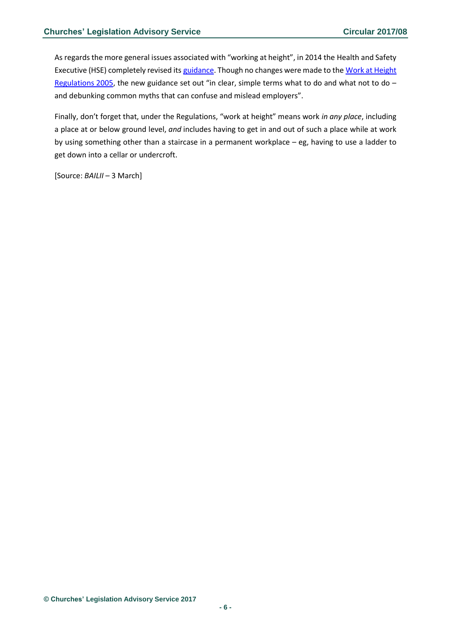As regards the more general issues associated with "working at height", in 2014 the Health and Safety Executive (HSE) completely revised its [guidance.](https://www.gov.uk/government/news/overhaul-of-guidance-to-help-10-million-working-at-height?ebul=gd-engineering&cr=3/Feb14) Though no changes were made to the Work at Height [Regulations 2005,](http://www.legislation.gov.uk/uksi/2005/735/contents/made) the new guidance set out "in clear, simple terms what to do and what not to do and debunking common myths that can confuse and mislead employers".

Finally, don't forget that, under the Regulations, "work at height" means work *in any place*, including a place at or below ground level, *and* includes having to get in and out of such a place while at work by using something other than a staircase in a permanent workplace – eg, having to use a ladder to get down into a cellar or undercroft.

[Source: *BAILII* – 3 March]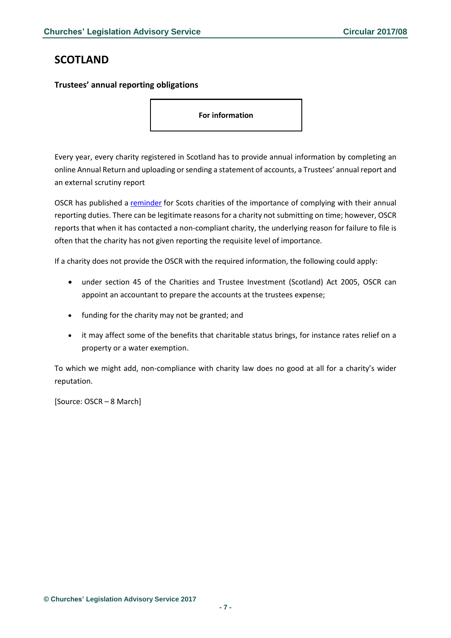# <span id="page-6-0"></span>**SCOTLAND**

### <span id="page-6-1"></span>**Trustees' annual reporting obligations**

**For information**

Every year, every charity registered in Scotland has to provide annual information by completing an online Annual Return and uploading or sending a statement of accounts, a Trustees' annual report and an external scrutiny report

OSCR has published a [reminder](http://www.oscr.org.uk/news/scottish-charities-need-to-report-on-time-to-give-the-public-confidence) for Scots charities of the importance of complying with their annual reporting duties. There can be legitimate reasons for a charity not submitting on time; however, OSCR reports that when it has contacted a non-compliant charity, the underlying reason for failure to file is often that the charity has not given reporting the requisite level of importance.

If a charity does not provide the OSCR with the required information, the following could apply:

- under section 45 of the Charities and Trustee Investment (Scotland) Act 2005, OSCR can appoint an accountant to prepare the accounts at the trustees expense;
- funding for the charity may not be granted; and
- it may affect some of the benefits that charitable status brings, for instance rates relief on a property or a water exemption.

To which we might add, non-compliance with charity law does no good at all for a charity's wider reputation.

[Source: OSCR – 8 March]